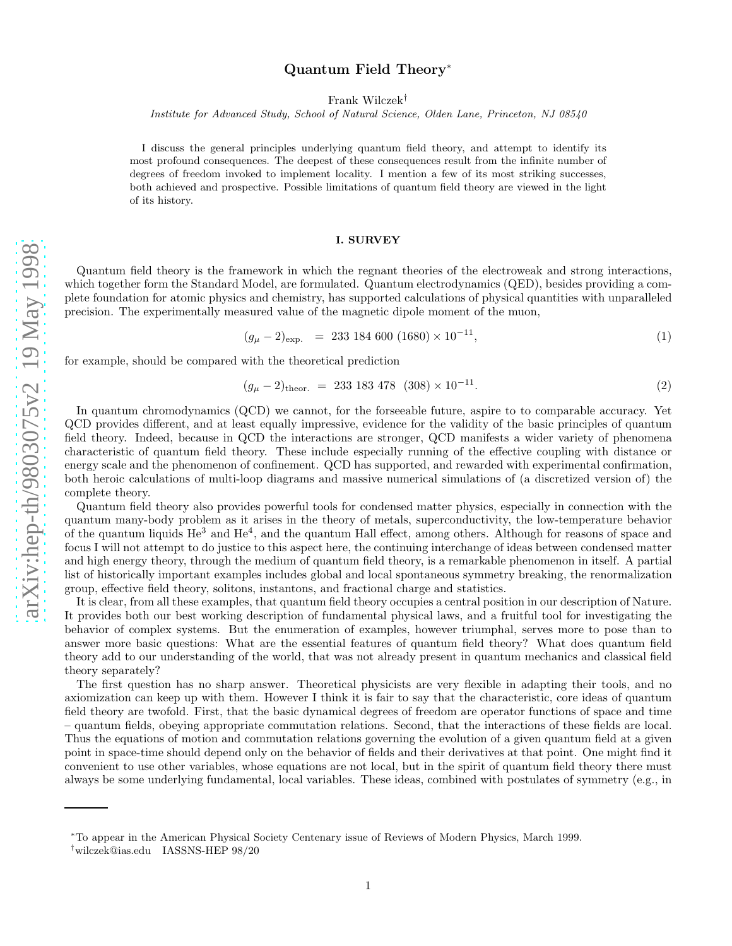# Quantum Field Theory ∗

Frank Wilczek †

Institute for Advanced Study, School of Natural Science, Olden Lane, Princeton, NJ 08540

I discuss the general principles underlying quantum field theory, and attempt to identify its most profound consequences. The deepest of these consequences result from the infinite number of degrees of freedom invoked to implement locality. I mention a few of its most striking successes, both achieved and prospective. Possible limitations of quantum field theory are viewed in the light of its history.

#### I. SURVEY

Quantum field theory is the framework in which the regnant theories of the electroweak and strong interactions, which together form the Standard Model, are formulated. Quantum electrodynamics (QED), besides providing a complete foundation for atomic physics and chemistry, has supported calculations of physical quantities with unparalleled precision. The experimentally measured value of the magnetic dipole moment of the muon,

$$
(g_{\mu} - 2)_{\text{exp.}} = 233\ 184\ 600\ (1680) \times 10^{-11},\tag{1}
$$

for example, should be compared with the theoretical prediction

$$
(g_{\mu} - 2)_{\text{theor.}} = 233\ 183\ 478\ (308) \times 10^{-11}.\tag{2}
$$

In quantum chromodynamics (QCD) we cannot, for the forseeable future, aspire to to comparable accuracy. Yet QCD provides different, and at least equally impressive, evidence for the validity of the basic principles of quantum field theory. Indeed, because in QCD the interactions are stronger, QCD manifests a wider variety of phenomena characteristic of quantum field theory. These include especially running of the effective coupling with distance or energy scale and the phenomenon of confinement. QCD has supported, and rewarded with experimental confirmation, both heroic calculations of multi-loop diagrams and massive numerical simulations of (a discretized version of) the complete theory.

Quantum field theory also provides powerful tools for condensed matter physics, especially in connection with the quantum many-body problem as it arises in the theory of metals, superconductivity, the low-temperature behavior of the quantum liquids He<sup>3</sup> and He<sup>4</sup>, and the quantum Hall effect, among others. Although for reasons of space and focus I will not attempt to do justice to this aspect here, the continuing interchange of ideas between condensed matter and high energy theory, through the medium of quantum field theory, is a remarkable phenomenon in itself. A partial list of historically important examples includes global and local spontaneous symmetry breaking, the renormalizatio n group, effective field theory, solitons, instantons, and fractional charge and statistics.

It is clear, from all these examples, that quantum field theory occupies a central position in our description of Nature. It provides both our best working description of fundamental physical laws, and a fruitful tool for investigating the behavior of complex systems. But the enumeration of examples, however triumphal, serves more to pose than to answer more basic questions: What are the essential features of quantum field theory? What does quantum field theory add to our understanding of the world, that was not already present in quantum mechanics and classical field theory separately?

The first question has no sharp answer. Theoretical physicists are very flexible in adapting their tools, and no axiomization can keep up with them. However I think it is fair to say that the characteristic, core ideas of quantum field theory are twofold. First, that the basic dynamical degrees of freedom are operator functions of space and time – quantum fields, obeying appropriate commutation relations. Second, that the interactions of these fields are local. Thus the equations of motion and commutation relations governing the evolution of a given quantum field at a given point in space-time should depend only on the behavior of fields and their derivatives at that point. One might find it convenient to use other variables, whose equations are not local, but in the spirit of quantum field theory there must always be some underlying fundamental, local variables. These ideas, combined with postulates of symmetry (e.g., in

<sup>∗</sup>To appear in the American Physical Society Centenary issue of Reviews of Modern Physics, March 1999.

<sup>†</sup>wilczek@ias.edu IASSNS-HEP 98/20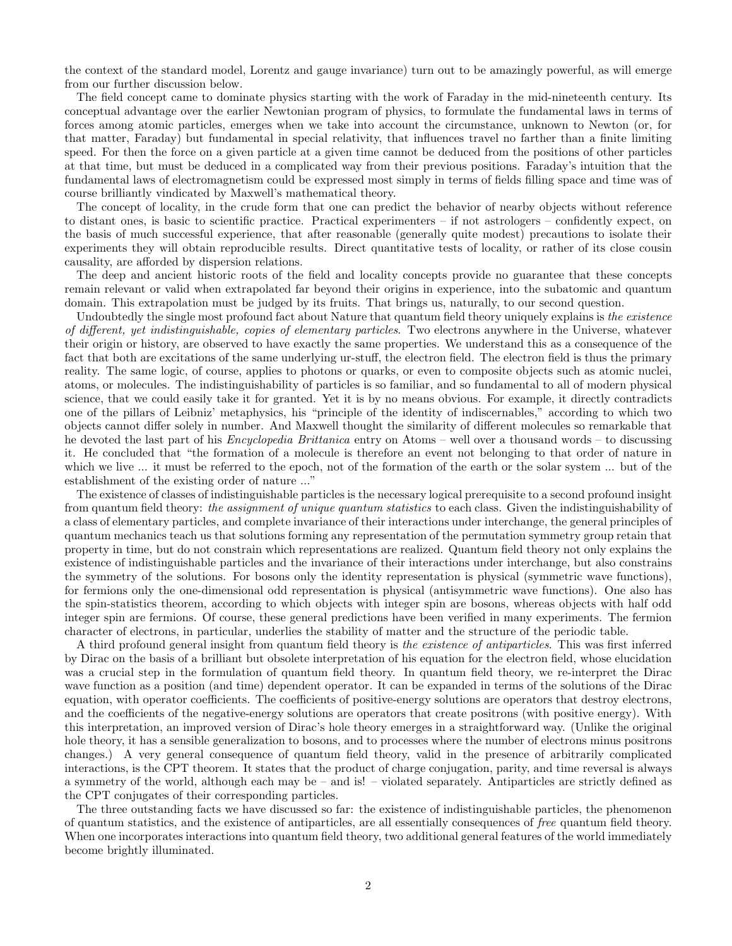the context of the standard model, Lorentz and gauge invariance) turn out to be amazingly powerful, as will emerge from our further discussion below.

The field concept came to dominate physics starting with the work of Faraday in the mid-nineteenth century. Its conceptual advantage over the earlier Newtonian program of physics, to formulate the fundamental laws in terms of forces among atomic particles, emerges when we take into account the circumstance, unknown to Newton (or, for that matter, Faraday) but fundamental in special relativity, that influences travel no farther than a finite limiting speed. For then the force on a given particle at a given time cannot be deduced from the positions of other particles at that time, but must be deduced in a complicated way from their previous positions. Faraday's intuition that the fundamental laws of electromagnetism could be expressed most simply in terms of fields filling space and time was of course brilliantly vindicated by Maxwell's mathematical theory.

The concept of locality, in the crude form that one can predict the behavior of nearby objects without reference to distant ones, is basic to scientific practice. Practical experimenters – if not astrologers – confidently expect, on the basis of much successful experience, that after reasonable (generally quite modest) precautions to isolate their experiments they will obtain reproducible results. Direct quantitative tests of locality, or rather of its close cousin causality, are afforded by dispersion relations.

The deep and ancient historic roots of the field and locality concepts provide no guarantee that these concepts remain relevant or valid when extrapolated far beyond their origins in experience, into the subatomic and quantum domain. This extrapolation must be judged by its fruits. That brings us, naturally, to our second question.

Undoubtedly the single most profound fact about Nature that quantum field theory uniquely explains is the existence of different, yet indistinguishable, copies of elementary particles. Two electrons anywhere in the Universe, whatever their origin or history, are observed to have exactly the same properties. We understand this as a consequence of the fact that both are excitations of the same underlying ur-stuff, the electron field. The electron field is thus the primary reality. The same logic, of course, applies to photons or quarks, or even to composite objects such as atomic nuclei, atoms, or molecules. The indistinguishability of particles is so familiar, and so fundamental to all of modern physical science, that we could easily take it for granted. Yet it is by no means obvious. For example, it directly contradicts one of the pillars of Leibniz' metaphysics, his "principle of the identity of indiscernables," according to which two objects cannot differ solely in number. And Maxwell thought the similarity of different molecules so remarkable that he devoted the last part of his Encyclopedia Brittanica entry on Atoms – well over a thousand words – to discussing it. He concluded that "the formation of a molecule is therefore an event not belonging to that order of nature in which we live ... it must be referred to the epoch, not of the formation of the earth or the solar system ... but of the establishment of the existing order of nature ..."

The existence of classes of indistinguishable particles is the necessary logical prerequisite to a second profound insight from quantum field theory: the assignment of unique quantum statistics to each class. Given the indistinguishability of a class of elementary particles, and complete invariance of their interactions under interchange, the general principles of quantum mechanics teach us that solutions forming any representation of the permutation symmetry group retain that property in time, but do not constrain which representations are realized. Quantum field theory not only explains the existence of indistinguishable particles and the invariance of their interactions under interchange, but also constrains the symmetry of the solutions. For bosons only the identity representation is physical (symmetric wave functions), for fermions only the one-dimensional odd representation is physical (antisymmetric wave functions). One also has the spin-statistics theorem, according to which objects with integer spin are bosons, whereas objects with half odd integer spin are fermions. Of course, these general predictions have been verified in many experiments. The fermion character of electrons, in particular, underlies the stability of matter and the structure of the periodic table.

A third profound general insight from quantum field theory is the existence of antiparticles. This was first inferred by Dirac on the basis of a brilliant but obsolete interpretation of his equation for the electron field, whose elucidation was a crucial step in the formulation of quantum field theory. In quantum field theory, we re-interpret the Dirac wave function as a position (and time) dependent operator. It can be expanded in terms of the solutions of the Dirac equation, with operator coefficients. The coefficients of positive-energy solutions are operators that destroy electrons, and the coefficients of the negative-energy solutions are operators that create positrons (with positive energy). With this interpretation, an improved version of Dirac's hole theory emerges in a straightforward way. (Unlike the original hole theory, it has a sensible generalization to bosons, and to processes where the number of electrons minus positrons changes.) A very general consequence of quantum field theory, valid in the presence of arbitrarily complicated interactions, is the CPT theorem. It states that the product of charge conjugation, parity, and time reversal is always a symmetry of the world, although each may be – and is! – violated separately. Antiparticles are strictly defined as the CPT conjugates of their corresponding particles.

The three outstanding facts we have discussed so far: the existence of indistinguishable particles, the phenomenon of quantum statistics, and the existence of antiparticles, are all essentially consequences of free quantum field theory. When one incorporates interactions into quantum field theory, two additional general features of the world immediately become brightly illuminated.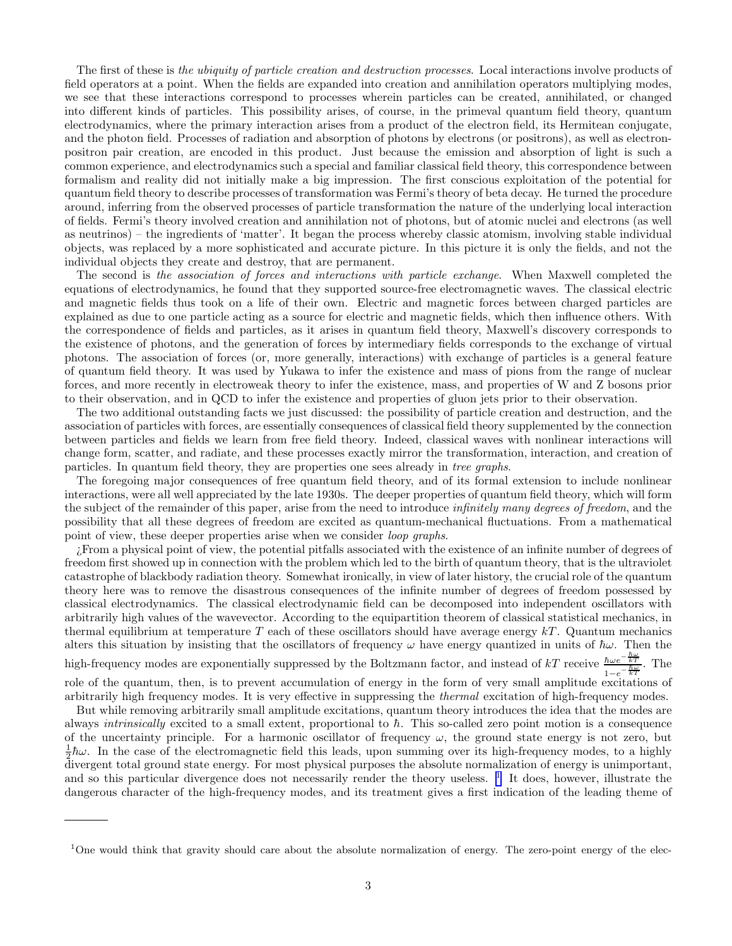The first of these is the ubiquity of particle creation and destruction processes. Local interactions involve products of field operators at a point. When the fields are expanded into creation and annihilation operators multiplying modes, we see that these interactions correspond to processes wherein particles can be created, annihilated, or changed into different kinds of particles. This possibility arises, of course, in the primeval quantum field theory, quantum electrodynamics, where the primary interaction arises from a product of the electron field, its Hermitean conjugate, and the photon field. Processes of radiation and absorption of photons by electrons (or positrons), as well as electronpositron pair creation, are encoded in this product. Just because the emission and absorption of light is such a common experience, and electrodynamics such a special and familiar classical field theory, this correspondence between formalism and reality did not initially make a big impression. The first conscious exploitation of the potential for quantum field theory to describe processes of transformation was Fermi's theory of beta decay. He turned the procedure around, inferring from the observed processes of particle transformation the nature of the underlying local interaction of fields. Fermi's theory involved creation and annihilation not of photons, but of atomic nuclei and electrons (as well as neutrinos) – the ingredients of 'matter'. It began the process whereby classic atomism, involving stable individual objects, was replaced by a more sophisticated and accurate picture. In this picture it is only the fields, and not the individual objects they create and destroy, that are permanent.

The second is the association of forces and interactions with particle exchange. When Maxwell completed the equations of electrodynamics, he found that they supported source-free electromagnetic waves. The classical electric and magnetic fields thus took on a life of their own. Electric and magnetic forces between charged particles are explained as due to one particle acting as a source for electric and magnetic fields, which then influence others. With the correspondence of fields and particles, as it arises in quantum field theory, Maxwell's discovery corresponds to the existence of photons, and the generation of forces by intermediary fields corresponds to the exchange of virtual photons. The association of forces (or, more generally, interactions) with exchange of particles is a general feature of quantum field theory. It was used by Yukawa to infer the existence and mass of pions from the range of nuclear forces, and more recently in electroweak theory to infer the existence, mass, and properties of W and Z bosons prior to their observation, and in QCD to infer the existence and properties of gluon jets prior to their observation.

The two additional outstanding facts we just discussed: the possibility of particle creation and destruction, and the association of particles with forces, are essentially consequences of classical field theory supplemented by the connection between particles and fields we learn from free field theory. Indeed, classical waves with nonlinear interactions will change form, scatter, and radiate, and these processes exactly mirror the transformation, interaction, and creation of particles. In quantum field theory, they are properties one sees already in tree graphs.

The foregoing major consequences of free quantum field theory, and of its formal extension to include nonlinear interactions, were all well appreciated by the late 1930s. The deeper properties of quantum field theory, which will form the subject of the remainder of this paper, arise from the need to introduce *infinitely many degrees of freedom*, and the possibility that all these degrees of freedom are excited as quantum-mechanical fluctuations. From a mathematical point of view, these deeper properties arise when we consider *loop graphs*.

¿From a physical point of view, the potential pitfalls associated with the existence of an infinite number of degrees of freedom first showed up in connection with the problem which led to the birth of quantum theory, that is the ultraviolet catastrophe of blackbody radiation theory. Somewhat ironically, in view of later history, the crucial role of the quantum theory here was to remove the disastrous consequences of the infinite number of degrees of freedom possessed by classical electrodynamics. The classical electrodynamic field can be decomposed into independent oscillators with arbitrarily high values of the wavevector. According to the equipartition theorem of classical statistical mechanics, in thermal equilibrium at temperature  $T$  each of these oscillators should have average energy  $kT$ . Quantum mechanics alters this situation by insisting that the oscillators of frequency  $\omega$  have energy quantized in units of  $\hbar\omega$ . Then the

high-frequency modes are exponentially suppressed by the Boltzmann factor, and instead of kT receive  $\frac{\hbar\omega e^{-\frac{\hbar\omega}{kT}}}{-\frac{\hbar\omega}{kT}}$  $\frac{\hbar\omega e^{-kT}}{1-e^{-\frac{\hbar\omega}{kT}}}$ . The

role of the quantum, then, is to prevent accumulation of energy in the form of very small amplitude excitations of arbitrarily high frequency modes. It is very effective in suppressing the thermal excitation of high-frequency modes.

But while removing arbitrarily small amplitude excitations, quantum theory introduces the idea that the modes are always *intrinsically* excited to a small extent, proportional to  $\hbar$ . This so-called zero point motion is a consequence of the uncertainty principle. For a harmonic oscillator of frequency  $\omega$ , the ground state energy is not zero, but  $\frac{1}{2}\hbar\omega$ . In the case of the electromagnetic field this leads, upon summing over its high-frequency modes, to a highly divergent total ground state energy. For most physical purposes the absolute normalization of energy is unimportant, and so this particular divergence does not necessarily render the theory useless. <sup>1</sup> It does, however, illustrate the dangerous character of the high-frequency modes, and its treatment gives a first indication of the leading theme of

 $1$ One would think that gravity should care about the absolute normalization of energy. The zero-point energy of the elec-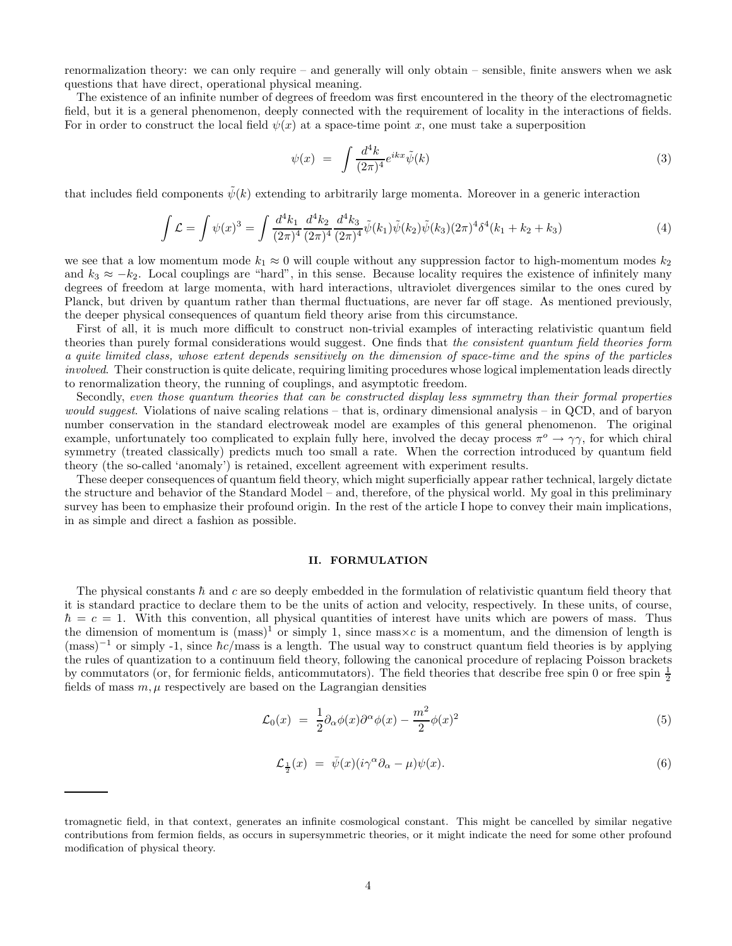renormalization theory: we can only require – and generally will only obtain – sensible, finite answers when we ask questions that have direct, operational physical meaning.

The existence of an infinite number of degrees of freedom was first encountered in the theory of the electromagnetic field, but it is a general phenomenon, deeply connected with the requirement of locality in the interactions of fields. For in order to construct the local field  $\psi(x)$  at a space-time point x, one must take a superposition

$$
\psi(x) = \int \frac{d^4k}{(2\pi)^4} e^{ikx} \tilde{\psi}(k) \tag{3}
$$

that includes field components  $\tilde{\psi}(k)$  extending to arbitrarily large momenta. Moreover in a generic interaction

$$
\int \mathcal{L} = \int \psi(x)^3 = \int \frac{d^4 k_1}{(2\pi)^4} \frac{d^4 k_2}{(2\pi)^4} \frac{d^4 k_3}{(2\pi)^4} \tilde{\psi}(k_1) \tilde{\psi}(k_2) \tilde{\psi}(k_3) (2\pi)^4 \delta^4(k_1 + k_2 + k_3)
$$
\n(4)

we see that a low momentum mode  $k_1 \approx 0$  will couple without any suppression factor to high-momentum modes  $k_2$ and  $k_3 \approx -k_2$ . Local couplings are "hard", in this sense. Because locality requires the existence of infinitely many degrees of freedom at large momenta, with hard interactions, ultraviolet divergences similar to the ones cured by Planck, but driven by quantum rather than thermal fluctuations, are never far off stage. As mentioned previously, the deeper physical consequences of quantum field theory arise from this circumstance.

First of all, it is much more difficult to construct non-trivial examples of interacting relativistic quantum field theories than purely formal considerations would suggest. One finds that the consistent quantum field theories form a quite limited class, whose extent depends sensitively on the dimension of space-time and the spins of the particles involved. Their construction is quite delicate, requiring limiting procedures whose logical implementation leads directly to renormalization theory, the running of couplings, and asymptotic freedom.

Secondly, even those quantum theories that can be constructed display less symmetry than their formal properties would suggest. Violations of naive scaling relations – that is, ordinary dimensional analysis – in QCD, and of baryon number conservation in the standard electroweak model are examples of this general phenomenon. The original example, unfortunately too complicated to explain fully here, involved the decay process  $\pi^o \to \gamma \gamma$ , for which chiral symmetry (treated classically) predicts much too small a rate. When the correction introduced by quantum field theory (the so-called 'anomaly') is retained, excellent agreement with experiment results.

These deeper consequences of quantum field theory, which might superficially appear rather technical, largely dictate the structure and behavior of the Standard Model – and, therefore, of the physical world. My goal in this preliminary survey has been to emphasize their profound origin. In the rest of the article I hope to convey their main implications, in as simple and direct a fashion as possible.

#### II. FORMULATION

The physical constants  $\hbar$  and c are so deeply embedded in the formulation of relativistic quantum field theory that it is standard practice to declare them to be the units of action and velocity, respectively. In these units, of course,  $\hbar = c = 1$ . With this convention, all physical quantities of interest have units which are powers of mass. Thus the dimension of momentum is  $(mass)^1$  or simply 1, since mass  $\times c$  is a momentum, and the dimension of length is  $(mass)^{-1}$  or simply -1, since  $\hbar c/mass$  is a length. The usual way to construct quantum field theories is by applying the rules of quantization to a continuum field theory, following the canonical procedure of replacing Poisson brackets by commutators (or, for fermionic fields, anticommutators). The field theories that describe free spin 0 or free spin  $\frac{1}{2}$ fields of mass  $m, \mu$  respectively are based on the Lagrangian densities

$$
\mathcal{L}_0(x) = \frac{1}{2} \partial_\alpha \phi(x) \partial^\alpha \phi(x) - \frac{m^2}{2} \phi(x)^2 \tag{5}
$$

$$
\mathcal{L}_{\frac{1}{2}}(x) = \bar{\psi}(x)(i\gamma^{\alpha}\partial_{\alpha} - \mu)\psi(x). \tag{6}
$$

tromagnetic field, in that context, generates an infinite cosmological constant. This might be cancelled by similar negative contributions from fermion fields, as occurs in supersymmetric theories, or it might indicate the need for some other profound modification of physical theory.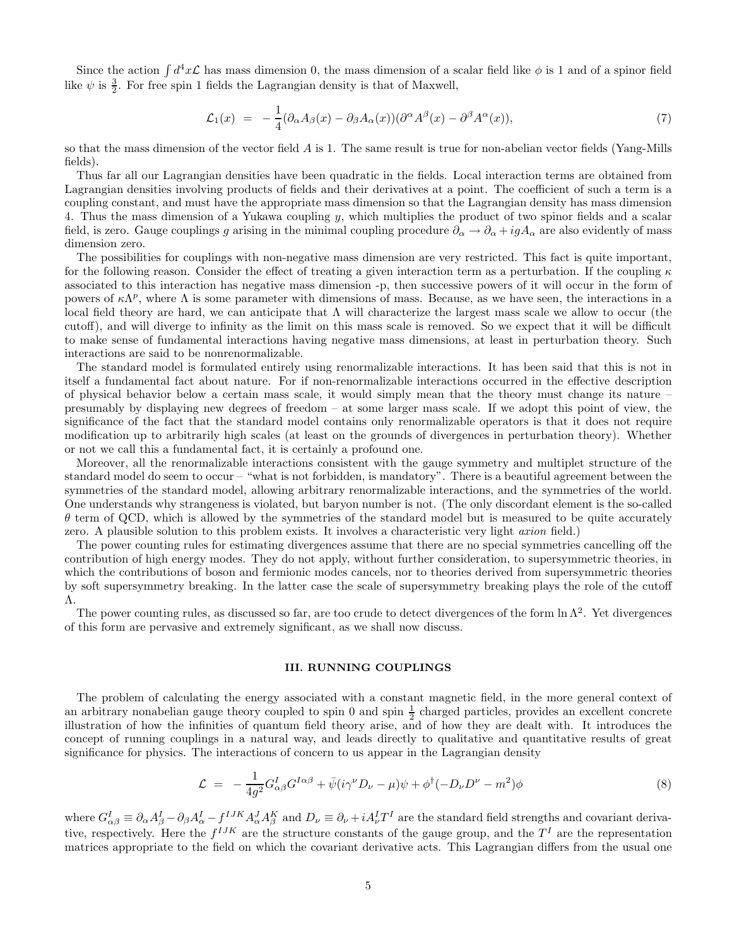Since the action  $\int d^4x \mathcal{L}$  has mass dimension 0, the mass dimension of a scalar field like  $\phi$  is 1 and of a spinor field like  $\psi$  is  $\frac{3}{2}$ . For free spin 1 fields the Lagrangian density is that of Maxwell,

$$
\mathcal{L}_1(x) = -\frac{1}{4} (\partial_\alpha A_\beta(x) - \partial_\beta A_\alpha(x)) (\partial^\alpha A^\beta(x) - \partial^\beta A^\alpha(x)), \tag{7}
$$

so that the mass dimension of the vector field  $A$  is 1. The same result is true for non-abelian vector fields (Yang-Mills fields).

Thus far all our Lagrangian densities have been quadratic in the fields. Local interaction terms are obtained from Lagrangian densities involving products of fields and their derivatives at a point. The coefficient of such a term is a coupling constant, and must have the appropriate mass dimension so that the Lagrangian density has mass dimension 4. Thus the mass dimension of a Yukawa coupling y, which multiplies the product of two spinor fields and a scalar field, is zero. Gauge couplings g arising in the minimal coupling procedure  $\partial_{\alpha} \to \partial_{\alpha} + igA_{\alpha}$  are also evidently of mass dimension zero.

The possibilities for couplings with non-negative mass dimension are very restricted. This fact is quite important, for the following reason. Consider the effect of treating a given interaction term as a perturbation. If the coupling  $\kappa$ associated to this interaction has negative mass dimension -p, then successive powers of it will occur in the form of powers of  $\kappa \Lambda^p$ , where  $\Lambda$  is some parameter with dimensions of mass. Because, as we have seen, the interactions in a local field theory are hard, we can anticipate that  $\Lambda$  will characterize the largest mass scale we allow to occur (the cutoff), and will diverge to infinity as the limit on this mass scale is removed. So we expect that it will be difficult to make sense of fundamental interactions having negative mass dimensions, at least in perturbation theory. Such interactions are said to be nonrenormalizable.

The standard model is formulated entirely using renormalizable interactions. It has been said that this is not in itself a fundamental fact about nature. For if non-renormalizable interactions occurred in the effective description of physical behavior below a certain mass scale, it would simply mean that the theory must change its nature – presumably by displaying new degrees of freedom – at some larger mass scale. If we adopt this point of view, the significance of the fact that the standard model contains only renormalizable operators is that it does not require modification up to arbitrarily high scales (at least on the grounds of divergences in perturbation theory). Whether or not we call this a fundamental fact, it is certainly a profound one.

Moreover, all the renormalizable interactions consistent with the gauge symmetry and multiplet structure of the standard model do seem to occur – "what is not forbidden, is mandatory". There is a beautiful agreement between the symmetries of the standard model, allowing arbitrary renormalizable interactions, and the symmetries of the world. One understands why strangeness is violated, but baryon number is not. (The only discordant element is the so-called  $\theta$  term of QCD, which is allowed by the symmetries of the standard model but is measured to be quite accurately zero. A plausible solution to this problem exists. It involves a characteristic very light axion field.)

The power counting rules for estimating divergences assume that there are no special symmetries cancelling off the contribution of high energy modes. They do not apply, without further consideration, to supersymmetric theories, in which the contributions of boson and fermionic modes cancels, nor to theories derived from supersymmetric theories by soft supersymmetry breaking. In the latter case the scale of supersymmetry breaking plays the role of the cutoff Λ.

The power counting rules, as discussed so far, are too crude to detect divergences of the form  $\ln \Lambda^2$ . Yet divergences of this form are pervasive and extremely significant, as we shall now discuss.

#### III. RUNNING COUPLINGS

The problem of calculating the energy associated with a constant magnetic field, in the more general context of an arbitrary nonabelian gauge theory coupled to spin 0 and spin  $\frac{1}{2}$  charged particles, provides an excellent concrete illustration of how the infinities of quantum field theory arise, and of how they are dealt with. It introduces the concept of running couplings in a natural way, and leads directly to qualitative and quantitative results of great significance for physics. The interactions of concern to us appear in the Lagrangian density

$$
\mathcal{L} = -\frac{1}{4g^2} G_{\alpha\beta}^I G^{I\alpha\beta} + \bar{\psi}(i\gamma^\nu D_\nu - \mu)\psi + \phi^\dagger (-D_\nu D^\nu - m^2)\phi \tag{8}
$$

where  $G_{\alpha\beta}^I = \partial_\alpha A_\beta^I - \partial_\beta A_\alpha^I - f^{IJK} A_\alpha^J A_\beta^K$  and  $D_\nu \equiv \partial_\nu + iA_\nu^I T^I$  are the standard field strengths and covariant derivative, respectively. Here the  $f^{IJK}$  are the structure constants of the gauge group, and the  $T^I$  are the representation matrices appropriate to the field on which the covariant derivative acts. This Lagrangian differs from the usual one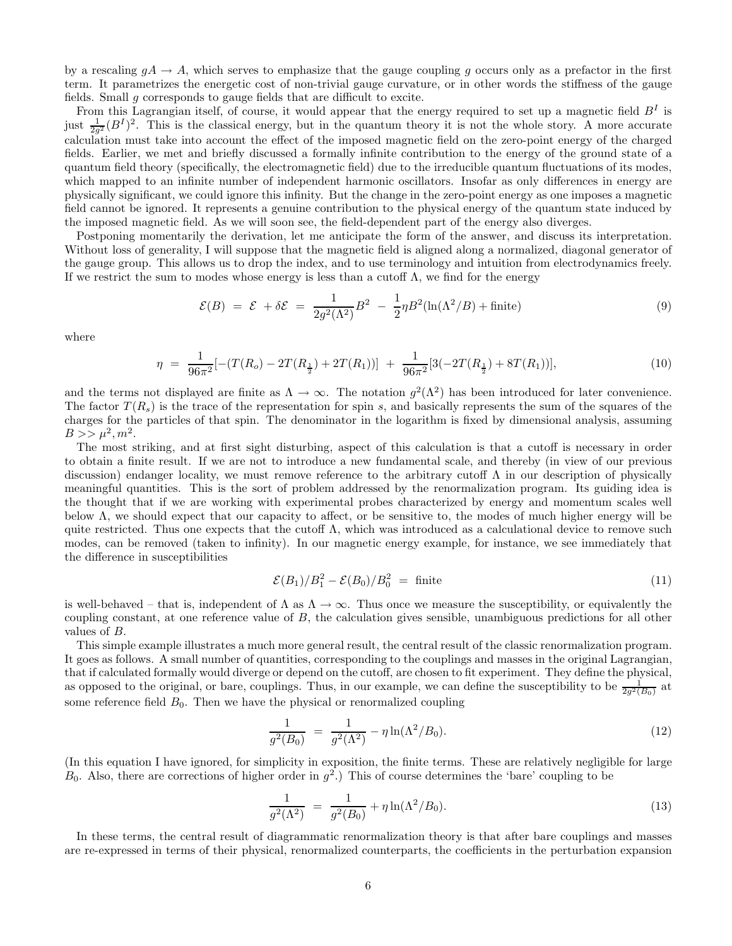<span id="page-5-0"></span>by a rescaling  $gA \rightarrow A$ , which serves to emphasize that the gauge coupling g occurs only as a prefactor in the first term. It parametrizes the energetic cost of non-trivial gauge curvature, or in other words the stiffness of the gauge fields. Small g corresponds to gauge fields that are difficult to excite.

From this Lagrangian itself, of course, it would appear that the energy required to set up a magnetic field  $B<sup>I</sup>$  is just  $\frac{1}{2g^2}(B^I)^2$ . This is the classical energy, but in the quantum theory it is not the whole story. A more accurate calculation must take into account the effect of the imposed magnetic field on the zero-point energy of the charged fields. Earlier, we met and briefly discussed a formally infinite contribution to the energy of the ground state of a quantum field theory (specifically, the electromagnetic field) due to the irreducible quantum fluctuations of its modes, which mapped to an infinite number of independent harmonic oscillators. Insofar as only differences in energy are physically significant, we could ignore this infinity. But the change in the zero-point energy as one imposes a magnetic field cannot be ignored. It represents a genuine contribution to the physical energy of the quantum state induced by the imposed magnetic field. As we will soon see, the field-dependent part of the energy also diverges.

Postponing momentarily the derivation, let me anticipate the form of the answer, and discuss its interpretation. Without loss of generality, I will suppose that the magnetic field is aligned along a normalized, diagonal generator of the gauge group. This allows us to drop the index, and to use terminology and intuition from electrodynamics freely. If we restrict the sum to modes whose energy is less than a cutoff  $\Lambda$ , we find for the energy

$$
\mathcal{E}(B) = \mathcal{E} + \delta \mathcal{E} = \frac{1}{2g^2(\Lambda^2)} B^2 - \frac{1}{2} \eta B^2 (\ln(\Lambda^2/B) + \text{finite})
$$
\n(9)

where

$$
\eta = \frac{1}{96\pi^2} \left[ -(T(R_o) - 2T(R_{\frac{1}{2}}) + 2T(R_1)) \right] + \frac{1}{96\pi^2} [3(-2T(R_{\frac{1}{2}}) + 8T(R_1))],\tag{10}
$$

and the terms not displayed are finite as  $\Lambda \to \infty$ . The notation  $g^2(\Lambda^2)$  has been introduced for later convenience. The factor  $T(R_s)$  is the trace of the representation for spin s, and basically represents the sum of the squares of the charges for the particles of that spin. The denominator in the logarithm is fixed by dimensional analysis, assuming  $B >> \mu^2, m^2.$ 

The most striking, and at first sight disturbing, aspect of this calculation is that a cutoff is necessary in order to obtain a finite result. If we are not to introduce a new fundamental scale, and thereby (in view of our previous discussion) endanger locality, we must remove reference to the arbitrary cutoff Λ in our description of physically meaningful quantities. This is the sort of problem addressed by the renormalization program. Its guiding idea is the thought that if we are working with experimental probes characterized by energy and momentum scales well below Λ, we should expect that our capacity to affect, or be sensitive to, the modes of much higher energy will be quite restricted. Thus one expects that the cutoff  $\Lambda$ , which was introduced as a calculational device to remove such modes, can be removed (taken to infinity). In our magnetic energy example, for instance, we see immediately that the difference in susceptibilities

$$
\mathcal{E}(B_1)/B_1^2 - \mathcal{E}(B_0)/B_0^2 = \text{finite} \tag{11}
$$

is well-behaved – that is, independent of  $\Lambda$  as  $\Lambda \to \infty$ . Thus once we measure the susceptibility, or equivalently the coupling constant, at one reference value of B, the calculation gives sensible, unambiguous predictions for all other values of B.

This simple example illustrates a much more general result, the central result of the classic renormalization program. It goes as follows. A small number of quantities, corresponding to the couplings and masses in the original Lagrangian, that if calculated formally would diverge or depend on the cutoff, are chosen to fit experiment. They define the physical, as opposed to the original, or bare, couplings. Thus, in our example, we can define the susceptibility to be  $\frac{1}{2g^2(B_0)}$  at some reference field  $B_0$ . Then we have the physical or renormalized coupling

$$
\frac{1}{g^2(B_0)} = \frac{1}{g^2(\Lambda^2)} - \eta \ln(\Lambda^2/B_0).
$$
\n(12)

(In this equation I have ignored, for simplicity in exposition, the finite terms. These are relatively negligible for large  $B_0$ . Also, there are corrections of higher order in  $g^2$ .) This of course determines the 'bare' coupling to be

$$
\frac{1}{g^2(\Lambda^2)} = \frac{1}{g^2(B_0)} + \eta \ln(\Lambda^2/B_0). \tag{13}
$$

In these terms, the central result of diagrammatic renormalization theory is that after bare couplings and masses are re-expressed in terms of their physical, renormalized counterparts, the coefficients in the perturbation expansion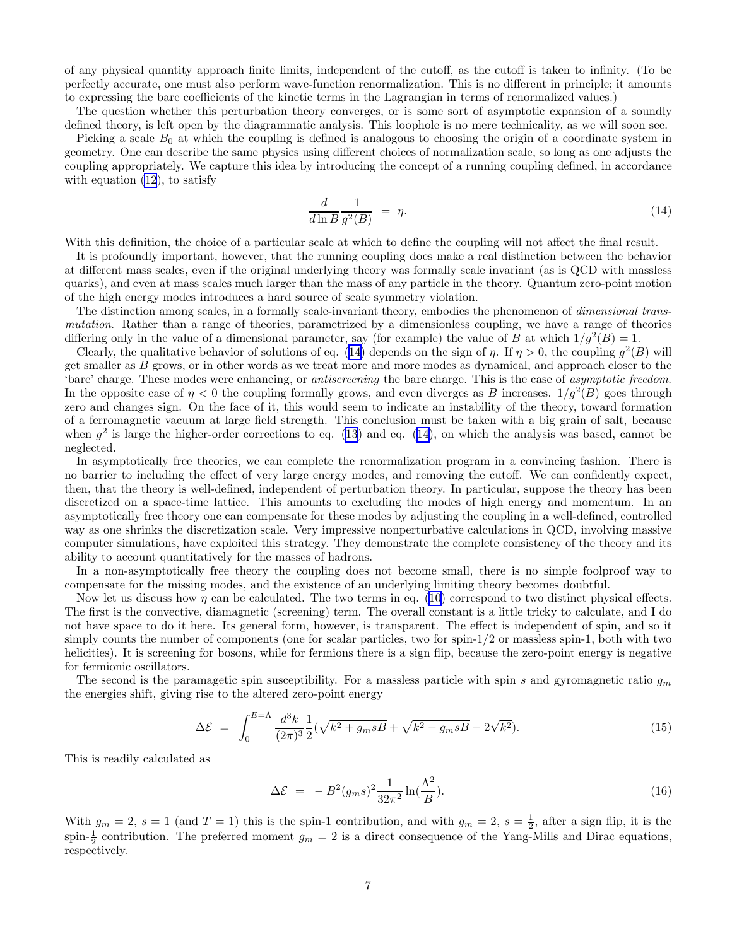of any physical quantity approach finite limits, independent of the cutoff, as the cutoff is taken to infinity. (To be perfectly accurate, one must also perform wave-function renormalization. This is no different in principle; it amounts to expressing the bare coefficients of the kinetic terms in the Lagrangian in terms of renormalized values.)

The question whether this perturbation theory converges, or is some sort of asymptotic expansion of a soundly defined theory, is left open by the diagrammatic analysis. This loophole is no mere technicality, as we will soon see.

Picking a scale  $B_0$  at which the coupling is defined is analogous to choosing the origin of a coordinate system in geometry. One can describe the same physics using different choices of normalization scale, so long as one adjusts the coupling appropriately. We capture this idea by introducing the concept of a running coupling defined, in accordance with equation  $(12)$  $(12)$ , to satisfy

$$
\frac{d}{d\ln B} \frac{1}{g^2(B)} = \eta. \tag{14}
$$

With this definition, the choice of a particular scale at which to define the coupling will not affect the final result.

It is profoundly important, however, that the running coupling does make a real distinction between the behavior at different mass scales, even if the original underlying theory was formally scale invariant (as is QCD with massless quarks), and even at mass scales much larger than the mass of any particle in the theory. Quantum zero-point motion of the high energy modes introduces a hard source of scale symmetry violation.

The distinction among scales, in a formally scale-invariant theory, embodies the phenomenon of *dimensional trans*mutation. Rather than a range of theories, parametrized by a dimensionless coupling, we have a range of theories differing only in the value of a dimensional parameter, say (for example) the value of B at which  $1/g^2(B) = 1$ .

Clearly, the qualitative behavior of solutions of eq. (14) depends on the sign of  $\eta$ . If  $\eta > 0$ , the coupling  $g^2(B)$  will get smaller as B grows, or in other words as we treat more and more modes as dynamical, and approach closer to the 'bare' charge. These modes were enhancing, or antiscreening the bare charge. This is the case of asymptotic freedom. In the opposite case of  $\eta < 0$  the coupling formally grows, and even diverges as B increases.  $1/g^2(B)$  goes through zero and changes sign. On the face of it, this would seem to indicate an instability of the theory, toward formation of a ferromagnetic vacuum at large field strength. This conclusion must be taken with a big grain of salt, because when  $g^2$  is large the higher-order corrections to eq. [\(13](#page-5-0)) and eq. (14), on which the analysis was based, cannot be neglected.

In asymptotically free theories, we can complete the renormalization program in a convincing fashion. There is no barrier to including the effect of very large energy modes, and removing the cutoff. We can confidently expect, then, that the theory is well-defined, independent of perturbation theory. In particular, suppose the theory has been discretized on a space-time lattice. This amounts to excluding the modes of high energy and momentum. In an asymptotically free theory one can compensate for these modes by adjusting the coupling in a well-defined, controlled way as one shrinks the discretization scale. Very impressive nonperturbative calculations in QCD, involving massive computer simulations, have exploited this strategy. They demonstrate the complete consistency of the theory and its ability to account quantitatively for the masses of hadrons.

In a non-asymptotically free theory the coupling does not become small, there is no simple foolproof way to compensate for the missing modes, and the existence of an underlying limiting theory becomes doubtful.

Now let us discuss how  $\eta$  can be calculated. The two terms in eq. [\(10](#page-5-0)) correspond to two distinct physical effects. The first is the convective, diamagnetic (screening) term. The overall constant is a little tricky to calculate, and I do not have space to do it here. Its general form, however, is transparent. The effect is independent of spin, and so it simply counts the number of components (one for scalar particles, two for spin-1/2 or massless spin-1, both with two helicities). It is screening for bosons, while for fermions there is a sign flip, because the zero-point energy is negative for fermionic oscillators.

The second is the paramagetic spin susceptibility. For a massless particle with spin s and gyromagnetic ratio  $g_m$ the energies shift, giving rise to the altered zero-point energy

$$
\Delta \mathcal{E} = \int_0^{E=\Lambda} \frac{d^3k}{(2\pi)^3} \frac{1}{2} (\sqrt{k^2 + g_m s} + \sqrt{k^2 - g_m s} - 2\sqrt{k^2}). \tag{15}
$$

This is readily calculated as

$$
\Delta \mathcal{E} = -B^2 (g_m s)^2 \frac{1}{32\pi^2} \ln(\frac{\Lambda^2}{B}).
$$
\n(16)

With  $g_m = 2$ ,  $s = 1$  (and  $T = 1$ ) this is the spin-1 contribution, and with  $g_m = 2$ ,  $s = \frac{1}{2}$ , after a sign flip, it is the spin- $\frac{1}{2}$  contribution. The preferred moment  $g_m = 2$  is a direct consequence of the Yang-Mills and Dirac equations, respectively.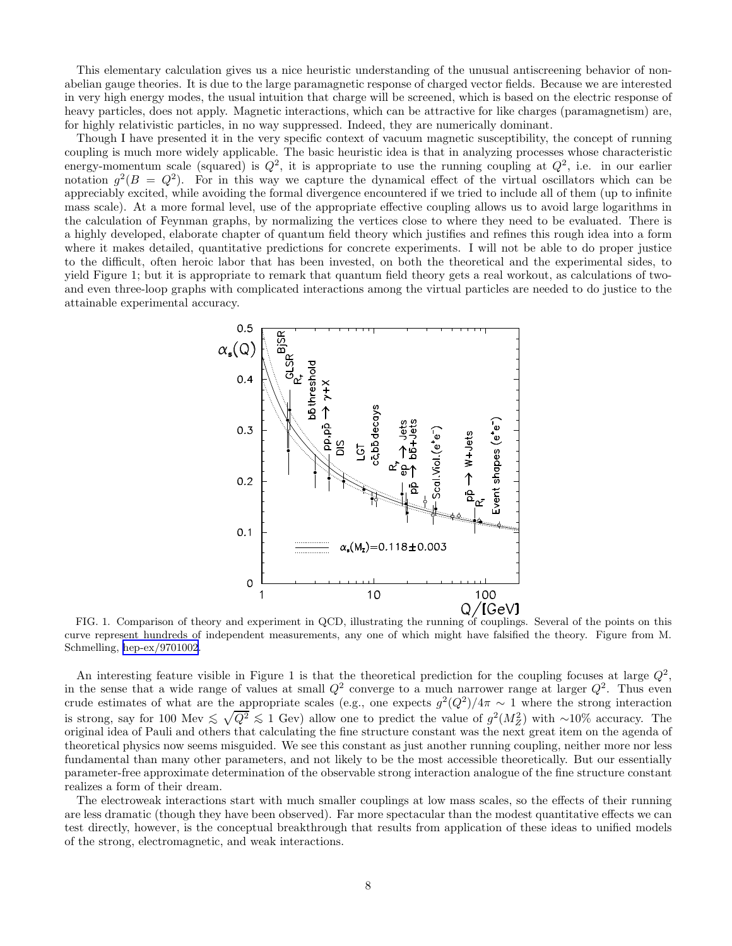This elementary calculation gives us a nice heuristic understanding of the unusual antiscreening behavior of nonabelian gauge theories. It is due to the large paramagnetic response of charged vector fields. Because we are interested in very high energy modes, the usual intuition that charge will be screened, which is based on the electric response of heavy particles, does not apply. Magnetic interactions, which can be attractive for like charges (paramagnetism) are, for highly relativistic particles, in no way suppressed. Indeed, they are numerically dominant.

Though I have presented it in the very specific context of vacuum magnetic susceptibility, the concept of running coupling is much more widely applicable. The basic heuristic idea is that in analyzing processes whose characteristic energy-momentum scale (squared) is  $Q^2$ , it is appropriate to use the running coupling at  $Q^2$ , i.e. in our earlier notation  $g^2(B = Q^2)$ . For in this way we capture the dynamical effect of the virtual oscillators which can be appreciably excited, while avoiding the formal divergence encountered if we tried to include all of them (up to infinite mass scale). At a more formal level, use of the appropriate effective coupling allows us to avoid large logarithms in the calculation of Feynman graphs, by normalizing the vertices close to where they need to be evaluated. There is a highly developed, elaborate chapter of quantum field theory which justifies and refines this rough idea into a form where it makes detailed, quantitative predictions for concrete experiments. I will not be able to do proper justice to the difficult, often heroic labor that has been invested, on both the theoretical and the experimental sides, to yield Figure 1; but it is appropriate to remark that quantum field theory gets a real workout, as calculations of twoand even three-loop graphs with complicated interactions among the virtual particles are needed to do justice to the attainable experimental accuracy.



FIG. 1. Comparison of theory and experiment in QCD, illustrating the running of couplings. Several of the points on this curve represent hundreds of independent measurements, any one of which might have falsified the theory. Figure from M. Schmelling, [hep-ex/9701002.](http://arXiv.org/abs/hep-ex/9701002)

An interesting feature visible in Figure 1 is that the theoretical prediction for the coupling focuses at large  $Q^2$ , in the sense that a wide range of values at small  $Q^2$  converge to a much narrower range at larger  $Q^2$ . Thus even crude estimates of what are the appropriate scales (e.g., one expects  $g^2(Q^2)/4\pi \sim 1$  where the strong interaction is strong, say for 100 Mev  $\leq \sqrt{Q^2} \leq 1$  Gev) allow one to predict the value of  $g^2(M_Z^2)$  with ∼10% accuracy. The original idea of Pauli and others that calculating the fine structure constant was the next great item on the agenda of theoretical physics now seems misguided. We see this constant as just another running coupling, neither more nor less fundamental than many other parameters, and not likely to be the most accessible theoretically. But our essentially parameter-free approximate determination of the observable strong interaction analogue of the fine structure constant realizes a form of their dream.

The electroweak interactions start with much smaller couplings at low mass scales, so the effects of their running are less dramatic (though they have been observed). Far more spectacular than the modest quantitative effects we can test directly, however, is the conceptual breakthrough that results from application of these ideas to unified models of the strong, electromagnetic, and weak interactions.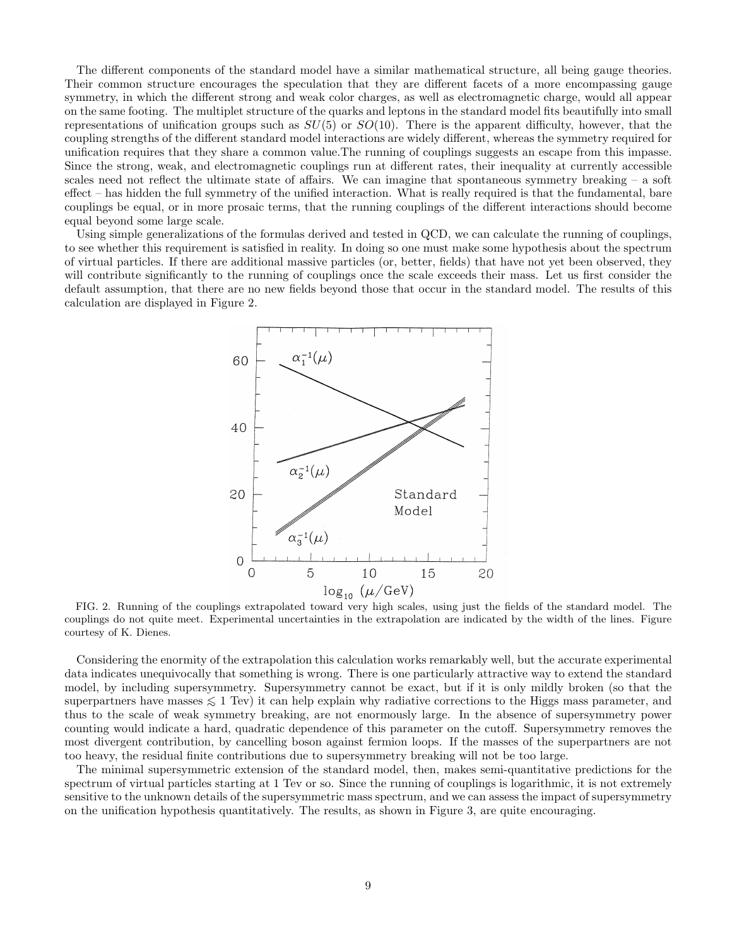The different components of the standard model have a similar mathematical structure, all being gauge theories. Their common structure encourages the speculation that they are different facets of a more encompassing gauge symmetry, in which the different strong and weak color charges, as well as electromagnetic charge, would all appear on the same footing. The multiplet structure of the quarks and leptons in the standard model fits beautifully into small representations of unification groups such as  $SU(5)$  or  $SO(10)$ . There is the apparent difficulty, however, that the coupling strengths of the different standard model interactions are widely different, whereas the symmetry required for unification requires that they share a common value.The running of couplings suggests an escape from this impasse. Since the strong, weak, and electromagnetic couplings run at different rates, their inequality at currently accessible scales need not reflect the ultimate state of affairs. We can imagine that spontaneous symmetry breaking  $-$  a soft effect – has hidden the full symmetry of the unified interaction. What is really required is that the fundamental, bare couplings be equal, or in more prosaic terms, that the running couplings of the different interactions should become equal beyond some large scale.

Using simple generalizations of the formulas derived and tested in QCD, we can calculate the running of couplings, to see whether this requirement is satisfied in reality. In doing so one must make some hypothesis about the spectrum of virtual particles. If there are additional massive particles (or, better, fields) that have not yet been observed, they will contribute significantly to the running of couplings once the scale exceeds their mass. Let us first consider the default assumption, that there are no new fields beyond those that occur in the standard model. The results of this calculation are displayed in Figure 2.



 $log_{10} (\mu / GeV)$ <br>FIG. 2. Running of the couplings extrapolated toward very high scales, using just the fields of the standard model. The couplings do not quite meet. Experimental uncertainties in the extrapolation are indicated by the width of the lines. Figure courtesy of K. Dienes.

Considering the enormity of the extrapolation this calculation works remarkably well, but the accurate experimental data indicates unequivocally that something is wrong. There is one particularly attractive way to extend the standard model, by including supersymmetry. Supersymmetry cannot be exact, but if it is only mildly broken (so that the superpartners have masses  $\leq 1$  Tev) it can help explain why radiative corrections to the Higgs mass parameter, and thus to the scale of weak symmetry breaking, are not enormously large. In the absence of supersymmetry power counting would indicate a hard, quadratic dependence of this parameter on the cutoff. Supersymmetry removes the most divergent contribution, by cancelling boson against fermion loops. If the masses of the superpartners are not too heavy, the residual finite contributions due to supersymmetry breaking will not be too large.

The minimal supersymmetric extension of the standard model, then, makes semi-quantitative predictions for the spectrum of virtual particles starting at 1 Tev or so. Since the running of couplings is logarithmic, it is not extremely sensitive to the unknown details of the supersymmetric mass spectrum, and we can assess the impact of supersymmetry on the unification hypothesis quantitatively. The results, as shown in Figure 3, are quite encouraging.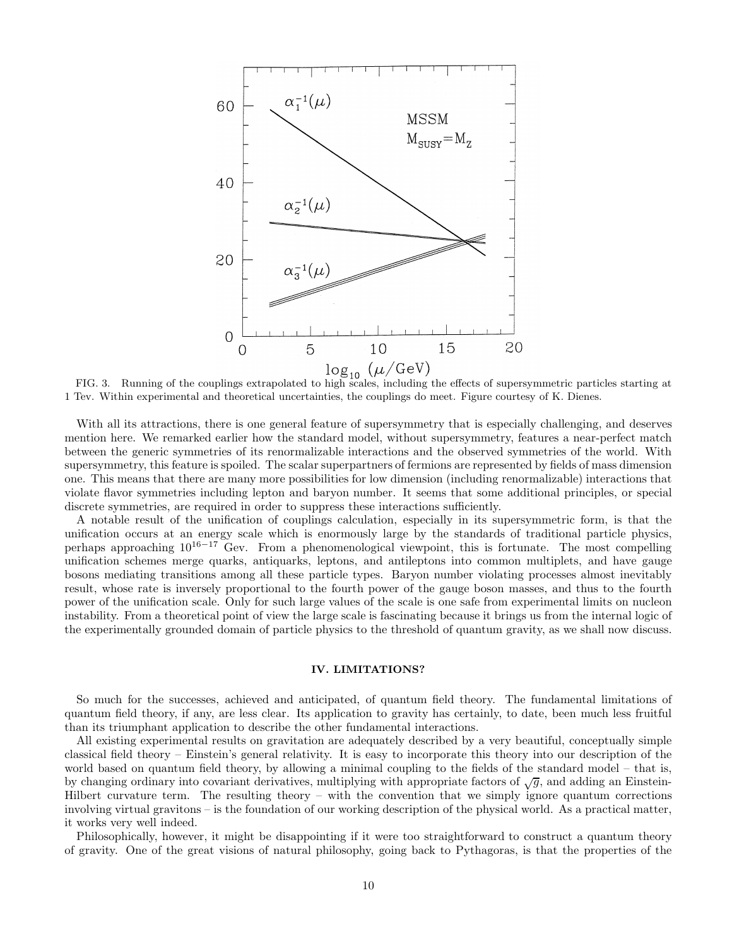

FIG. 3. Running of the couplings extrapolated to high scales, including the effects of supersymmetric particles starting at 1 Tev. Within experimental and theoretical uncertainties, the couplings do meet. Figure courtesy of K. Dienes.

With all its attractions, there is one general feature of supersymmetry that is especially challenging, and deserves mention here. We remarked earlier how the standard model, without supersymmetry, features a near-perfect match between the generic symmetries of its renormalizable interactions and the observed symmetries of the world. With supersymmetry, this feature is spoiled. The scalar superpartners of fermions are represented by fields of mass dimension one. This means that there are many more possibilities for low dimension (including renormalizable) interactions that violate flavor symmetries including lepton and baryon number. It seems that some additional principles, or special discrete symmetries, are required in order to suppress these interactions sufficiently.

A notable result of the unification of couplings calculation, especially in its supersymmetric form, is that the unification occurs at an energy scale which is enormously large by the standards of traditional particle physics, perhaps approaching 10<sup>16</sup>−<sup>17</sup> Gev. From a phenomenological viewpoint, this is fortunate. The most compelling unification schemes merge quarks, antiquarks, leptons, and antileptons into common multiplets, and have gauge bosons mediating transitions among all these particle types. Baryon number violating processes almost inevitably result, whose rate is inversely proportional to the fourth power of the gauge boson masses, and thus to the fourth power of the unification scale. Only for such large values of the scale is one safe from experimental limits on nucleon instability. From a theoretical point of view the large scale is fascinating because it brings us from the internal logic of the experimentally grounded domain of particle physics to the threshold of quantum gravity, as we shall now discuss.

## IV. LIMITATIONS?

So much for the successes, achieved and anticipated, of quantum field theory. The fundamental limitations of quantum field theory, if any, are less clear. Its application to gravity has certainly, to date, been much less fruitful than its triumphant application to describe the other fundamental interactions.

All existing experimental results on gravitation are adequately described by a very beautiful, conceptually simple classical field theory – Einstein's general relativity. It is easy to incorporate this theory into our description of the world based on quantum field theory, by allowing a minimal coupling to the fields of the standard model – that is, by changing ordinary into covariant derivatives, multiplying with appropriate factors of  $\sqrt{g}$ , and adding an Einstein-Hilbert curvature term. The resulting theory – with the convention that we simply ignore quantum corrections involving virtual gravitons – is the foundation of our working description of the physical world. As a practical matter, it works very well indeed.

Philosophically, however, it might be disappointing if it were too straightforward to construct a quantum theory of gravity. One of the great visions of natural philosophy, going back to Pythagoras, is that the properties of the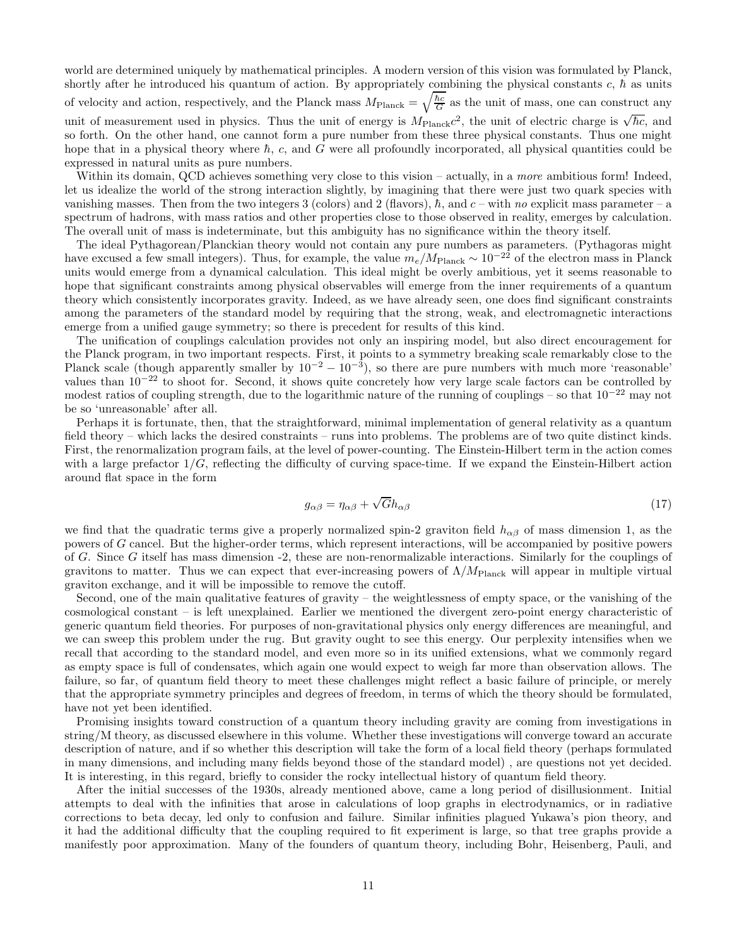world are determined uniquely by mathematical principles. A modern version of this vision was formulated by Planck, shortly after he introduced his quantum of action. By appropriately combining the physical constants  $c, \hbar$  as units of velocity and action, respectively, and the Planck mass  $M_{\text{Planck}} = \sqrt{\frac{\hbar c}{G}}$  as the unit of mass, one can construct any unit of measurement used in physics. Thus the unit of energy is  $M_{\text{Planck}}c^2$ , the unit of electric charge is  $\sqrt{\hbar c}$ , and so forth. On the other hand, one cannot form a pure number from these three physical constants. Thus one might hope that in a physical theory where  $\hbar$ , c, and G were all profoundly incorporated, all physical quantities could be expressed in natural units as pure numbers.

Within its domain, QCD achieves something very close to this vision – actually, in a more ambitious form! Indeed, let us idealize the world of the strong interaction slightly, by imagining that there were just two quark species with vanishing masses. Then from the two integers 3 (colors) and 2 (flavors),  $\hbar$ , and  $c$  – with no explicit mass parameter – a spectrum of hadrons, with mass ratios and other properties close to those observed in reality, emerges by calculation. The overall unit of mass is indeterminate, but this ambiguity has no significance within the theory itself.

The ideal Pythagorean/Planckian theory would not contain any pure numbers as parameters. (Pythagoras might have excused a few small integers). Thus, for example, the value  $m_e/M_{\text{Planck}} \sim 10^{-22}$  of the electron mass in Planck units would emerge from a dynamical calculation. This ideal might be overly ambitious, yet it seems reasonable to hope that significant constraints among physical observables will emerge from the inner requirements of a quantum theory which consistently incorporates gravity. Indeed, as we have already seen, one does find significant constraints among the parameters of the standard model by requiring that the strong, weak, and electromagnetic interactions emerge from a unified gauge symmetry; so there is precedent for results of this kind.

The unification of couplings calculation provides not only an inspiring model, but also direct encouragement for the Planck program, in two important respects. First, it points to a symmetry breaking scale remarkably close to the Planck scale (though apparently smaller by  $10^{-2} - 10^{-3}$ ), so there are pure numbers with much more 'reasonable' values than 10<sup>−</sup><sup>22</sup> to shoot for. Second, it shows quite concretely how very large scale factors can be controlled by modest ratios of coupling strength, due to the logarithmic nature of the running of couplings – so that 10<sup>−</sup><sup>22</sup> may not be so 'unreasonable' after all.

Perhaps it is fortunate, then, that the straightforward, minimal implementation of general relativity as a quantum field theory – which lacks the desired constraints – runs into problems. The problems are of two quite distinct kinds. First, the renormalization program fails, at the level of power-counting. The Einstein-Hilbert term in the action comes with a large prefactor  $1/G$ , reflecting the difficulty of curving space-time. If we expand the Einstein-Hilbert action around flat space in the form

$$
g_{\alpha\beta} = \eta_{\alpha\beta} + \sqrt{G}h_{\alpha\beta} \tag{17}
$$

we find that the quadratic terms give a properly normalized spin-2 graviton field  $h_{\alpha\beta}$  of mass dimension 1, as the powers of G cancel. But the higher-order terms, which represent interactions, will be accompanied by positive powers of G. Since G itself has mass dimension -2, these are non-renormalizable interactions. Similarly for the couplings of gravitons to matter. Thus we can expect that ever-increasing powers of  $\Lambda/M_{\text{Planck}}$  will appear in multiple virtual graviton exchange, and it will be impossible to remove the cutoff.

Second, one of the main qualitative features of gravity – the weightlessness of empty space, or the vanishing of the cosmological constant – is left unexplained. Earlier we mentioned the divergent zero-point energy characteristic of generic quantum field theories. For purposes of non-gravitational physics only energy differences are meaningful, and we can sweep this problem under the rug. But gravity ought to see this energy. Our perplexity intensifies when we recall that according to the standard model, and even more so in its unified extensions, what we commonly regard as empty space is full of condensates, which again one would expect to weigh far more than observation allows. The failure, so far, of quantum field theory to meet these challenges might reflect a basic failure of principle, or merely that the appropriate symmetry principles and degrees of freedom, in terms of which the theory should be formulated, have not yet been identified.

Promising insights toward construction of a quantum theory including gravity are coming from investigations in string/M theory, as discussed elsewhere in this volume. Whether these investigations will converge toward an accurate description of nature, and if so whether this description will take the form of a local field theory (perhaps formulated in many dimensions, and including many fields beyond those of the standard model) , are questions not yet decided. It is interesting, in this regard, briefly to consider the rocky intellectual history of quantum field theory.

After the initial successes of the 1930s, already mentioned above, came a long period of disillusionment. Initial attempts to deal with the infinities that arose in calculations of loop graphs in electrodynamics, or in radiative corrections to beta decay, led only to confusion and failure. Similar infinities plagued Yukawa's pion theory, and it had the additional difficulty that the coupling required to fit experiment is large, so that tree graphs provide a manifestly poor approximation. Many of the founders of quantum theory, including Bohr, Heisenberg, Pauli, and